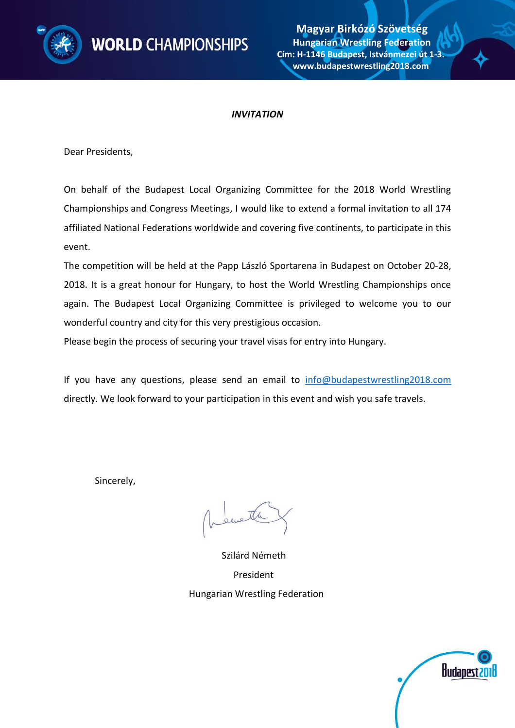

#### *INVITATION*

Dear Presidents,

On behalf of the Budapest Local Organizing Committee for the 2018 World Wrestling Championships and Congress Meetings, I would like to extend a formal invitation to all 174 affiliated National Federations worldwide and covering five continents, to participate in this event.

The competition will be held at the Papp László Sportarena in Budapest on October 20-28, 2018. It is a great honour for Hungary, to host the World Wrestling Championships once again. The Budapest Local Organizing Committee is privileged to welcome you to our wonderful country and city for this very prestigious occasion.

Please begin the process of securing your travel visas for entry into Hungary.

If you have any questions, please send an email to [info@budapestwrestling2018.com](mailto:info@budapestwrestling2018.com) directly. We look forward to your participation in this event and wish you safe travels.

Sincerely,

eweth

 Szilárd Németh President Hungarian Wrestling Federation

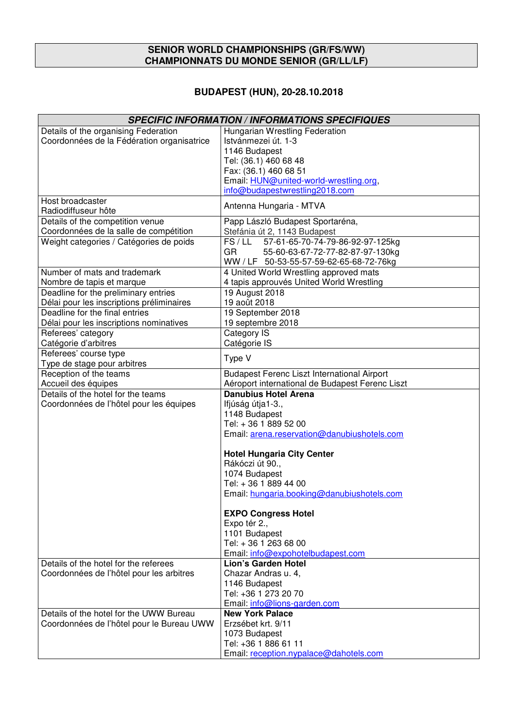#### **SENIOR WORLD CHAMPIONSHIPS (GR/FS/WW) CHAMPIONNATS DU MONDE SENIOR (GR/LL/LF)**

# **BUDAPEST (HUN), 20-28.10.2018**

| <b>SPECIFIC INFORMATION / INFORMATIONS SPECIFIQUES</b> |                                                 |  |  |  |  |  |
|--------------------------------------------------------|-------------------------------------------------|--|--|--|--|--|
| Details of the organising Federation                   | Hungarian Wrestling Federation                  |  |  |  |  |  |
| Coordonnées de la Fédération organisatrice             | Istvánmezei út. 1-3                             |  |  |  |  |  |
|                                                        | 1146 Budapest                                   |  |  |  |  |  |
|                                                        | Tel: (36.1) 460 68 48                           |  |  |  |  |  |
|                                                        | Fax: (36.1) 460 68 51                           |  |  |  |  |  |
|                                                        | Email: HUN@united-world-wrestling.org,          |  |  |  |  |  |
|                                                        | info@budapestwrestling2018.com                  |  |  |  |  |  |
| Host broadcaster                                       | Antenna Hungaria - MTVA                         |  |  |  |  |  |
| Radiodiffuseur hôte                                    |                                                 |  |  |  |  |  |
| Details of the competition venue                       | Papp László Budapest Sportaréna,                |  |  |  |  |  |
| Coordonnées de la salle de compétition                 | Stefánia út 2, 1143 Budapest                    |  |  |  |  |  |
| Weight categories / Catégories de poids                | FS/LL<br>57-61-65-70-74-79-86-92-97-125kg       |  |  |  |  |  |
|                                                        | GR<br>55-60-63-67-72-77-82-87-97-130kg          |  |  |  |  |  |
|                                                        | WW / LF 50-53-55-57-59-62-65-68-72-76kg         |  |  |  |  |  |
| Number of mats and trademark                           | 4 United World Wrestling approved mats          |  |  |  |  |  |
| Nombre de tapis et marque                              | 4 tapis approuvés United World Wrestling        |  |  |  |  |  |
| Deadline for the preliminary entries                   | 19 August 2018                                  |  |  |  |  |  |
| Délai pour les inscriptions préliminaires              | 19 août 2018                                    |  |  |  |  |  |
| Deadline for the final entries                         | 19 September 2018                               |  |  |  |  |  |
| Délai pour les inscriptions nominatives                | 19 septembre 2018                               |  |  |  |  |  |
| Referees' category                                     | <b>Category IS</b>                              |  |  |  |  |  |
| Catégorie d'arbitres                                   | Catégorie IS                                    |  |  |  |  |  |
| Referees' course type                                  | Type V                                          |  |  |  |  |  |
| Type de stage pour arbitres                            |                                                 |  |  |  |  |  |
| Reception of the teams                                 | Budapest Ferenc Liszt International Airport     |  |  |  |  |  |
| Accueil des équipes                                    | Aéroport international de Budapest Ferenc Liszt |  |  |  |  |  |
| Details of the hotel for the teams                     | <b>Danubius Hotel Arena</b>                     |  |  |  |  |  |
| Coordonnées de l'hôtel pour les équipes                | Ifjúság útja1-3.,                               |  |  |  |  |  |
|                                                        | 1148 Budapest                                   |  |  |  |  |  |
|                                                        | Tel: +36 1889 52 00                             |  |  |  |  |  |
|                                                        | Email: arena.reservation@danubiushotels.com     |  |  |  |  |  |
|                                                        | <b>Hotel Hungaria City Center</b>               |  |  |  |  |  |
|                                                        | Rákóczi út 90.,                                 |  |  |  |  |  |
|                                                        | 1074 Budapest                                   |  |  |  |  |  |
|                                                        | Tel: +36 1 889 44 00                            |  |  |  |  |  |
|                                                        | Email: hungaria.booking@danubiushotels.com      |  |  |  |  |  |
|                                                        |                                                 |  |  |  |  |  |
|                                                        | <b>EXPO Congress Hotel</b>                      |  |  |  |  |  |
|                                                        | Expo tér 2.,                                    |  |  |  |  |  |
|                                                        | 1101 Budapest                                   |  |  |  |  |  |
|                                                        | Tel: +36 1 263 68 00                            |  |  |  |  |  |
|                                                        | Email: info@expohotelbudapest.com               |  |  |  |  |  |
| Details of the hotel for the referees                  | Lion's Garden Hotel                             |  |  |  |  |  |
| Coordonnées de l'hôtel pour les arbitres               | Chazar Andras u. 4,                             |  |  |  |  |  |
|                                                        | 1146 Budapest                                   |  |  |  |  |  |
|                                                        | Tel: +36 1 273 20 70                            |  |  |  |  |  |
|                                                        | Email: info@lions-garden.com                    |  |  |  |  |  |
| Details of the hotel for the UWW Bureau                | <b>New York Palace</b>                          |  |  |  |  |  |
| Coordonnées de l'hôtel pour le Bureau UWW              | Erzsébet krt. 9/11                              |  |  |  |  |  |
|                                                        | 1073 Budapest                                   |  |  |  |  |  |
|                                                        | Tel: +36 1 886 61 11                            |  |  |  |  |  |
|                                                        | Email: reception.nypalace@dahotels.com          |  |  |  |  |  |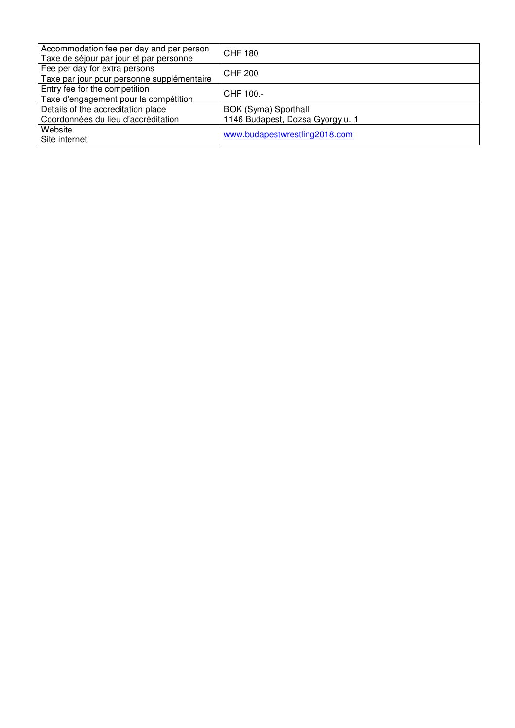| Accommodation fee per day and per person<br>Taxe de séjour par jour et par personne | CHF 180                                                  |
|-------------------------------------------------------------------------------------|----------------------------------------------------------|
| Fee per day for extra persons<br>Taxe par jour pour personne supplémentaire         | CHF 200                                                  |
| Entry fee for the competition<br>Taxe d'engagement pour la compétition              | CHF 100.-                                                |
| Details of the accreditation place<br>Coordonnées du lieu d'accréditation           | BOK (Syma) Sporthall<br>1146 Budapest, Dozsa Gyorgy u. 1 |
| Website<br>Site internet                                                            | www.budapestwrestling2018.com                            |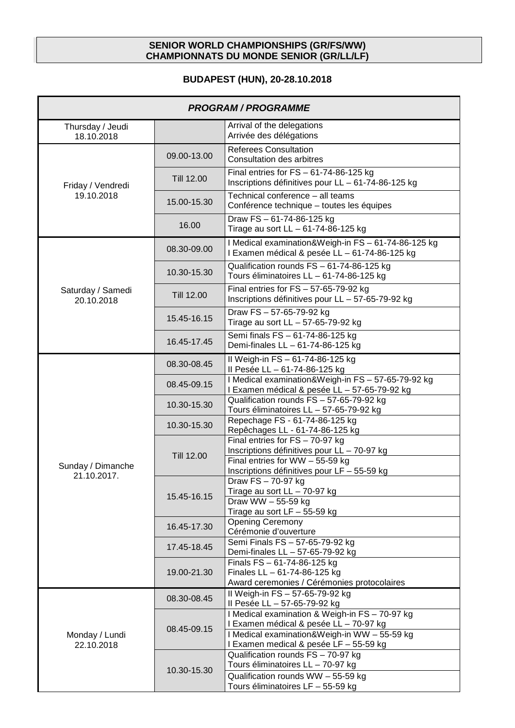#### **SENIOR WORLD CHAMPIONSHIPS (GR/FS/WW) CHAMPIONNATS DU MONDE SENIOR (GR/LL/LF)**

# **BUDAPEST (HUN), 20-28.10.2018**

| <b>PROGRAM / PROGRAMME</b>      |             |                                                                                                                                                                                    |  |  |  |  |
|---------------------------------|-------------|------------------------------------------------------------------------------------------------------------------------------------------------------------------------------------|--|--|--|--|
| Thursday / Jeudi<br>18.10.2018  |             | Arrival of the delegations<br>Arrivée des délégations                                                                                                                              |  |  |  |  |
|                                 | 09.00-13.00 | <b>Referees Consultation</b><br>Consultation des arbitres                                                                                                                          |  |  |  |  |
| Friday / Vendredi<br>19.10.2018 | Till 12.00  | Final entries for $FS - 61-74-86-125$ kg<br>Inscriptions définitives pour LL - 61-74-86-125 kg                                                                                     |  |  |  |  |
|                                 | 15.00-15.30 | Technical conference - all teams<br>Conférence technique - toutes les équipes                                                                                                      |  |  |  |  |
|                                 | 16.00       | Draw FS-61-74-86-125 kg<br>Tirage au sort LL - 61-74-86-125 kg                                                                                                                     |  |  |  |  |
|                                 | 08.30-09.00 | I Medical examination&Weigh-in FS - 61-74-86-125 kg<br>I Examen médical & pesée LL - 61-74-86-125 kg                                                                               |  |  |  |  |
|                                 | 10.30-15.30 | Qualification rounds FS - 61-74-86-125 kg<br>Tours éliminatoires LL - 61-74-86-125 kg                                                                                              |  |  |  |  |
| Saturday / Samedi<br>20.10.2018 | Till 12.00  | Final entries for $FS - 57-65-79-92$ kg<br>Inscriptions définitives pour LL - 57-65-79-92 kg                                                                                       |  |  |  |  |
|                                 | 15.45-16.15 | Draw FS - 57-65-79-92 kg<br>Tirage au sort LL - 57-65-79-92 kg                                                                                                                     |  |  |  |  |
|                                 | 16.45-17.45 | Semi finals FS - 61-74-86-125 kg<br>Demi-finales LL - 61-74-86-125 kg                                                                                                              |  |  |  |  |
|                                 | 08.30-08.45 | II Weigh-in FS - 61-74-86-125 kg<br>Il Pesée LL - 61-74-86-125 kg                                                                                                                  |  |  |  |  |
|                                 | 08.45-09.15 | I Medical examination&Weigh-in FS - 57-65-79-92 kg<br>I Examen médical & pesée LL - 57-65-79-92 kg                                                                                 |  |  |  |  |
|                                 | 10.30-15.30 | Qualification rounds FS - 57-65-79-92 kg<br>Tours éliminatoires LL - 57-65-79-92 kg                                                                                                |  |  |  |  |
|                                 | 10.30-15.30 | Repechage FS - 61-74-86-125 kg<br>Repêchages LL - 61-74-86-125 kg                                                                                                                  |  |  |  |  |
| Sunday / Dimanche               | Till 12.00  | Final entries for $FS - 70-97$ kg<br>Inscriptions définitives pour LL - 70-97 kg<br>Final entries for WW - 55-59 kg<br>Inscriptions définitives pour LF - 55-59 kg                 |  |  |  |  |
| 21.10.2017.                     | 15.45-16.15 | Draw FS - 70-97 kg<br>Tirage au sort $LL - 70-97$ kg<br>Draw WW $-$ 55-59 kg<br>Tirage au sort $LF - 55-59$ kg                                                                     |  |  |  |  |
|                                 | 16.45-17.30 | <b>Opening Ceremony</b><br>Cérémonie d'ouverture                                                                                                                                   |  |  |  |  |
|                                 | 17.45-18.45 | Semi Finals FS - 57-65-79-92 kg<br>Demi-finales LL - 57-65-79-92 kg                                                                                                                |  |  |  |  |
|                                 | 19.00-21.30 | Finals FS - 61-74-86-125 kg<br>Finales $LL - 61-74-86-125$ kg<br>Award ceremonies / Cérémonies protocolaires                                                                       |  |  |  |  |
|                                 | 08.30-08.45 | Il Weigh-in FS - 57-65-79-92 kg<br>II Pesée LL - 57-65-79-92 kg                                                                                                                    |  |  |  |  |
| Monday / Lundi<br>22.10.2018    | 08.45-09.15 | I Medical examination & Weigh-in FS - 70-97 kg<br>I Examen médical & pesée LL - 70-97 kg<br>I Medical examination&Weigh-in WW - 55-59 kg<br>I Examen medical & pesée LF - 55-59 kg |  |  |  |  |
|                                 |             | Qualification rounds FS - 70-97 kg<br>Tours éliminatoires LL - 70-97 kg                                                                                                            |  |  |  |  |
|                                 | 10.30-15.30 | Qualification rounds WW - 55-59 kg<br>Tours éliminatoires LF - 55-59 kg                                                                                                            |  |  |  |  |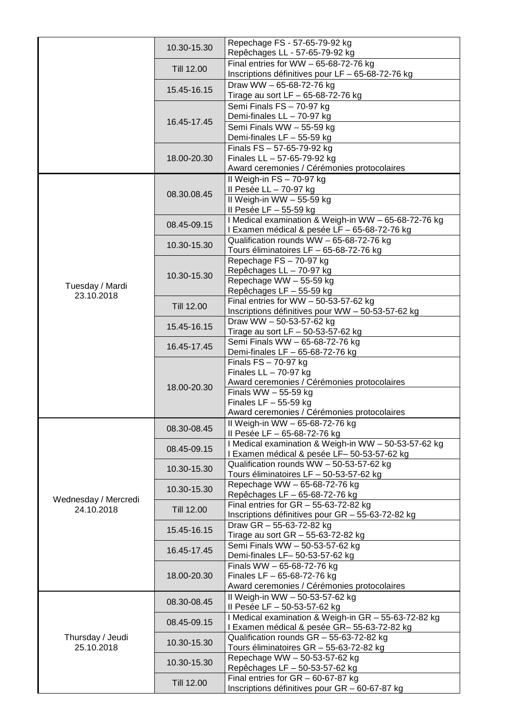|                                    | 10.30-15.30 | Repechage FS - 57-65-79-92 kg<br>Repêchages LL - 57-65-79-92 kg                                      |
|------------------------------------|-------------|------------------------------------------------------------------------------------------------------|
|                                    | Till 12.00  | Final entries for WW $-65-68-72-76$ kg<br>Inscriptions définitives pour LF - 65-68-72-76 kg          |
|                                    | 15.45-16.15 | Draw WW - 65-68-72-76 kg<br>Tirage au sort LF - 65-68-72-76 kg                                       |
|                                    |             | Semi Finals FS - 70-97 kg<br>Demi-finales LL - 70-97 kg                                              |
|                                    | 16.45-17.45 | Semi Finals WW - 55-59 kg                                                                            |
|                                    | 18.00-20.30 | Demi-finales LF - 55-59 kg<br>Finals FS - 57-65-79-92 kg<br>Finales LL - 57-65-79-92 kg              |
|                                    |             | Award ceremonies / Cérémonies protocolaires<br>Il Weigh-in FS - 70-97 kg                             |
|                                    | 08.30.08.45 | Il Pesée LL - 70-97 kg<br>II Weigh-in WW - 55-59 kg<br>Il Pesée LF - 55-59 kg                        |
|                                    | 08.45-09.15 | I Medical examination & Weigh-in WW - 65-68-72-76 kg<br>I Examen médical & pesée LF - 65-68-72-76 kg |
|                                    | 10.30-15.30 | Qualification rounds WW - 65-68-72-76 kg<br>Tours éliminatoires LF - 65-68-72-76 kg                  |
|                                    |             | Repechage FS - 70-97 kg<br>Repêchages LL - 70-97 kg                                                  |
| Tuesday / Mardi                    | 10.30-15.30 | Repechage WW - 55-59 kg<br>Repêchages LF - 55-59 kg                                                  |
| 23.10.2018                         | Till 12.00  | Final entries for WW $-50-53-57-62$ kg                                                               |
|                                    | 15.45-16.15 | Inscriptions définitives pour WW - 50-53-57-62 kg<br>Draw WW - 50-53-57-62 kg                        |
|                                    | 16.45-17.45 | Tirage au sort LF $-$ 50-53-57-62 kg<br>Semi Finals WW - 65-68-72-76 kg                              |
|                                    |             | Demi-finales LF - 65-68-72-76 kg<br>Finals $FS - 70-97$ kg                                           |
|                                    | 18.00-20.30 | Finales $LL - 70-97$ kg<br>Award ceremonies / Cérémonies protocolaires                               |
|                                    |             | Finals WW $-55-59$ kg<br>Finales LF $-55-59$ kg                                                      |
|                                    |             | Award ceremonies / Cérémonies protocolaires                                                          |
|                                    | 08.30-08.45 | II Weigh-in WW - 65-68-72-76 kg<br>II Pesée LF - 65-68-72-76 kg                                      |
|                                    | 08.45-09.15 | I Medical examination & Weigh-in WW - 50-53-57-62 kg<br>I Examen médical & pesée LF-50-53-57-62 kg   |
|                                    | 10.30-15.30 | Qualification rounds WW - 50-53-57-62 kg<br>Tours éliminatoires LF - 50-53-57-62 kg                  |
|                                    | 10.30-15.30 | Repechage WW - 65-68-72-76 kg<br>Repêchages LF - 65-68-72-76 kg                                      |
| Wednesday / Mercredi<br>24.10.2018 | Till 12.00  | Final entries for $GR - 55-63-72-82$ kg<br>Inscriptions définitives pour GR - 55-63-72-82 kg         |
|                                    | 15.45-16.15 | Draw GR - 55-63-72-82 kg<br>Tirage au sort GR - 55-63-72-82 kg                                       |
|                                    | 16.45-17.45 | Semi Finals WW - 50-53-57-62 kg<br>Demi-finales LF- 50-53-57-62 kg                                   |
|                                    |             | Finals WW - 65-68-72-76 kg                                                                           |
|                                    | 18.00-20.30 | Finales LF $-65-68-72-76$ kg<br>Award ceremonies / Cérémonies protocolaires                          |
|                                    | 08.30-08.45 | II Weigh-in WW - 50-53-57-62 kg<br>Il Pesée LF - 50-53-57-62 kg                                      |
|                                    | 08.45-09.15 | I Medical examination & Weigh-in GR - 55-63-72-82 kg<br>I Examen médical & pesée GR-55-63-72-82 kg   |
| Thursday / Jeudi<br>25.10.2018     | 10.30-15.30 | Qualification rounds GR - 55-63-72-82 kg<br>Tours éliminatoires GR - 55-63-72-82 kg                  |
|                                    | 10.30-15.30 | Repechage WW - 50-53-57-62 kg<br>Repêchages LF - 50-53-57-62 kg                                      |
|                                    | Till 12.00  | Final entries for $GR - 60-67-87$ kg<br>Inscriptions définitives pour GR - 60-67-87 kg               |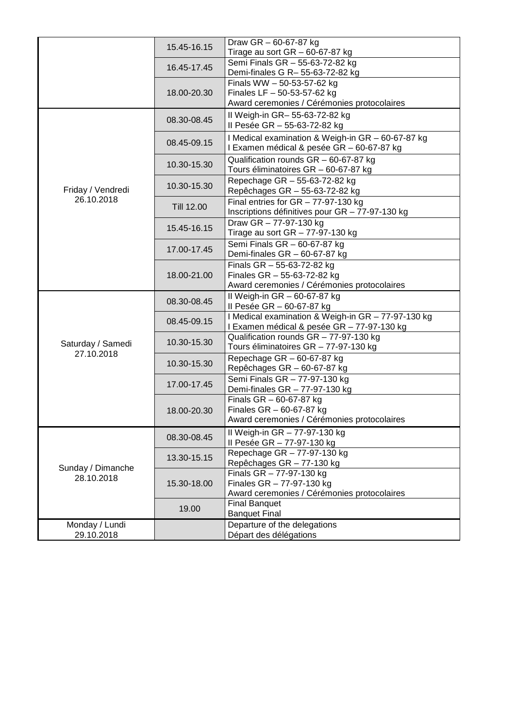|                                 | 15.45-16.15 | Draw GR - 60-67-87 kg<br>Tirage au sort $GR - 60 - 67 - 87$ kg                                                     |
|---------------------------------|-------------|--------------------------------------------------------------------------------------------------------------------|
|                                 | 16.45-17.45 | Semi Finals GR - 55-63-72-82 kg<br>Demi-finales G R- 55-63-72-82 kg                                                |
|                                 | 18.00-20.30 | Finals WW - 50-53-57-62 kg<br>Finales LF $-50-53-57-62$ kg<br>Award ceremonies / Cérémonies protocolaires          |
|                                 | 08.30-08.45 | II Weigh-in GR- 55-63-72-82 kg<br>Il Pesée GR - 55-63-72-82 kg                                                     |
|                                 | 08.45-09.15 | I Medical examination & Weigh-in GR - 60-67-87 kg<br>I Examen médical & pesée GR - 60-67-87 kg                     |
|                                 | 10.30-15.30 | Qualification rounds GR - 60-67-87 kg<br>Tours éliminatoires GR - 60-67-87 kg                                      |
| Friday / Vendredi               | 10.30-15.30 | Repechage GR - 55-63-72-82 kg<br>Repêchages GR - 55-63-72-82 kg                                                    |
| 26.10.2018                      | Till 12.00  | Final entries for $GR - 77-97-130$ kg<br>Inscriptions définitives pour GR - 77-97-130 kg                           |
|                                 | 15.45-16.15 | Draw GR - 77-97-130 kg<br>Tirage au sort $GR - 77-97-130$ kg                                                       |
|                                 | 17.00-17.45 | Semi Finals GR - 60-67-87 kg<br>Demi-finales $GR - 60-67-87$ kg                                                    |
|                                 | 18.00-21.00 | Finals $GR - 55-63-72-82$ kg<br>Finales $GR - 55 - 63 - 72 - 82$ kg<br>Award ceremonies / Cérémonies protocolaires |
|                                 | 08.30-08.45 | Il Weigh-in GR - 60-67-87 kg<br>Il Pesée GR - 60-67-87 kg                                                          |
|                                 | 08.45-09.15 | I Medical examination & Weigh-in GR - 77-97-130 kg<br>I Examen médical & pesée GR - 77-97-130 kg                   |
| Saturday / Samedi               | 10.30-15.30 | Qualification rounds GR - 77-97-130 kg<br>Tours éliminatoires GR - 77-97-130 kg                                    |
| 27.10.2018                      | 10.30-15.30 | Repechage $GR - 60-67-87$ kg<br>Repêchages GR - 60-67-87 kg                                                        |
|                                 | 17.00-17.45 | Semi Finals GR - 77-97-130 kg<br>Demi-finales $GR - 77-97-130$ kg                                                  |
|                                 | 18.00-20.30 | Finals $GR - 60-67-87$ kg<br>Finales $GR - 60-67-87$ kg<br>Award ceremonies / Cérémonies protocolaires             |
|                                 | 08.30-08.45 | Il Weigh-in GR - 77-97-130 kg<br>Il Pesée GR - 77-97-130 kg                                                        |
| Sunday / Dimanche<br>28.10.2018 | 13.30-15.15 | Repechage GR - 77-97-130 kg<br>Repêchages GR - 77-130 kg                                                           |
|                                 | 15.30-18.00 | Finals $GR - 77-97-130$ kg<br>Finales $GR - 77-97-130$ kg<br>Award ceremonies / Cérémonies protocolaires           |
|                                 | 19.00       | <b>Final Banquet</b><br><b>Banquet Final</b>                                                                       |
| Monday / Lundi<br>29.10.2018    |             | Departure of the delegations<br>Départ des délégations                                                             |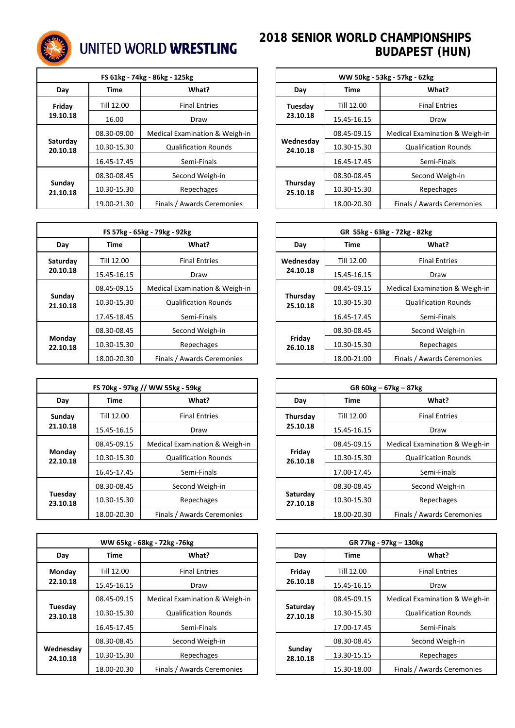

# UNITED WORLD WRESTLING

| FS 61kg - 74kg - 86kg - 125kg                 |             |                             |          | WW 50kg - 53kg - 57kg - 62kg |                           |                   |
|-----------------------------------------------|-------------|-----------------------------|----------|------------------------------|---------------------------|-------------------|
| Day                                           | Time        | What?                       |          | Day                          | Time                      | What?             |
| Friday                                        | Till 12.00  | <b>Final Entries</b>        |          | Tuesday                      | Till 12.00                | <b>Final Entr</b> |
| 19.10.18<br>16.00<br>Draw                     |             |                             | 23.10.18 | 15.45-16.15                  | Draw                      |                   |
| 08.30-09.00<br>Medical Examination & Weigh-in |             |                             |          | 08.45-09.15                  | <b>Medical Examinatio</b> |                   |
| Saturday<br>20.10.18                          | 10.30-15.30 | <b>Qualification Rounds</b> |          | Wednesday<br>24.10.18        | 10.30-15.30               | Qualification     |
|                                               | 16.45-17.45 | Semi-Finals                 |          |                              | 16.45-17.45               | Semi-Fin          |
|                                               | 08.30-08.45 | Second Weigh-in             |          |                              | 08.30-08.45               | Second Wei        |
| Sunday<br>21.10.18                            | 10.30-15.30 | Repechages                  |          | Thursday<br>25.10.18         | 10.30-15.30               | Repecha           |
|                                               | 19.00-21.30 | Finals / Awards Ceremonies  |          |                              | 18.00-20.30               | Finals / Awards C |

|                    | FS 57kg - 65kg - 79kg - 92kg              |                                |                       |                      |             | GR 55kg - 63kg - 72kg - 82kg |
|--------------------|-------------------------------------------|--------------------------------|-----------------------|----------------------|-------------|------------------------------|
| Day                | <b>Time</b>                               | What?                          | Day                   |                      | Time        | What?                        |
| Saturday           | Till 12.00                                | <b>Final Entries</b>           | Wednesday<br>24.10.18 |                      | Till 12.00  | <b>Final Entr</b>            |
| 20.10.18           | 15.45-16.15                               | Draw                           |                       |                      | 15.45-16.15 | Draw                         |
|                    | 08.45-09.15                               | Medical Examination & Weigh-in |                       |                      | 08.45-09.15 | <b>Medical Examinatio</b>    |
| Sunday<br>21.10.18 | 10.30-15.30                               | <b>Qualification Rounds</b>    |                       | Thursday<br>25.10.18 | 10.30-15.30 | Qualification                |
|                    | 17.45-18.45                               | Semi-Finals                    |                       |                      | 16.45-17.45 | Semi-Fin                     |
|                    | 08.30-08.45                               | Second Weigh-in                |                       |                      | 08.30-08.45 | Second Wei                   |
| Monday<br>22.10.18 | 10.30-15.30                               | Repechages                     |                       | Friday<br>26.10.18   | 10.30-15.30 | Repecha                      |
|                    | Finals / Awards Ceremonies<br>18.00-20.30 |                                | 18.00-21.00           | Finals / Awards C    |             |                              |

| FS 70kg - 97kg // WW 55kg - 59kg |                                               |                             |          | $GR 60kg - 67kg - 87kg$ |                           |                   |
|----------------------------------|-----------------------------------------------|-----------------------------|----------|-------------------------|---------------------------|-------------------|
| Day                              | Time                                          | What?                       |          | Day                     | Time                      | What?             |
| Sunday                           | Till 12.00                                    | <b>Final Entries</b>        | Thursday |                         | Till 12.00                | <b>Final Entr</b> |
| 21.10.18                         | 15.45-16.15<br>Draw                           |                             |          | 25.10.18                | 15.45-16.15               | Draw              |
|                                  | 08.45-09.15<br>Medical Examination & Weigh-in |                             |          | 08.45-09.15             | <b>Medical Examinatio</b> |                   |
| Monday<br>22.10.18               | 10.30-15.30                                   | <b>Qualification Rounds</b> |          | Friday<br>26.10.18      | 10.30-15.30               | Qualification     |
|                                  | 16.45-17.45                                   | Semi-Finals                 |          |                         | 17.00-17.45               | Semi-Fin          |
| 08.30-08.45<br>Second Weigh-in   |                                               |                             |          | 08.30-08.45             | Second Wei                |                   |
| Tuesday<br>23.10.18              | 10.30-15.30                                   | Repechages                  |          | Saturday<br>27.10.18    | 10.30-15.30               | Repecha           |
|                                  | 18.00-20.30                                   | Finals / Awards Ceremonies  |          |                         | 18.00-20.30               | Finals / Awards C |

| WW 65kg - 68kg - 72kg -76kg                                                     |                                               |                             |             | GR 77kg - 97kg – 130kg |                   |                           |
|---------------------------------------------------------------------------------|-----------------------------------------------|-----------------------------|-------------|------------------------|-------------------|---------------------------|
| Day                                                                             | Time                                          | What?                       |             | Day                    | Time              | What?                     |
| Till 12.00<br><b>Final Entries</b><br>Monday<br>22.10.18<br>15.45-16.15<br>Draw |                                               | Friday                      |             | Till 12.00             | <b>Final Entr</b> |                           |
|                                                                                 |                                               |                             | 26.10.18    | 15.45-16.15            | Draw              |                           |
|                                                                                 | Medical Examination & Weigh-in<br>08.45-09.15 |                             |             |                        | 08.45-09.15       | <b>Medical Examinatio</b> |
| Tuesday<br>23.10.18                                                             | 10.30-15.30                                   | <b>Qualification Rounds</b> |             | Saturday<br>27.10.18   | 10.30-15.30       | Qualification             |
|                                                                                 | 16.45-17.45                                   | Semi-Finals                 |             |                        | 17.00-17.45       | Semi-Fin                  |
|                                                                                 | 08.30-08.45                                   | Second Weigh-in             |             |                        | 08.30-08.45       | Second Wei                |
| Wednesday<br>24.10.18                                                           | 10.30-15.30                                   | Repechages                  |             | Sunday<br>28.10.18     | 13.30-15.15       | Repecha                   |
|                                                                                 | Finals / Awards Ceremonies<br>18.00-20.30     |                             | 15.30-18.00 | Finals / Awards C      |                   |                           |

# **2018 SENIOR WORLD CHAMPIONSHIPS BUDAPEST (HUN)**

|             | FS 61kg - 74kg - 86kg - 125kg  | WW 50kg - 53kg - 57kg - 62kg |                      |             |                                |
|-------------|--------------------------------|------------------------------|----------------------|-------------|--------------------------------|
| <b>Time</b> | What?                          |                              | Day                  | <b>Time</b> | What?                          |
| Till 12.00  | <b>Final Entries</b>           |                              | Tuesday              | Till 12.00  | <b>Final Entries</b>           |
| 16.00       | Draw                           | 23.10.18                     |                      | 15.45-16.15 | Draw                           |
| 08.30-09.00 | Medical Examination & Weigh-in |                              |                      | 08.45-09.15 | Medical Examination & Weigh-in |
| 10.30-15.30 | <b>Qualification Rounds</b>    | Wednesday<br>24.10.18        |                      | 10.30-15.30 | <b>Qualification Rounds</b>    |
| 16.45-17.45 | Semi-Finals                    |                              |                      | 16.45-17.45 | Semi-Finals                    |
| 08.30-08.45 | Second Weigh-in                |                              |                      | 08.30-08.45 | Second Weigh-in                |
| 10.30-15.30 | Repechages                     |                              | Thursday<br>25.10.18 | 10.30-15.30 | Repechages                     |
| 19.00-21.30 | Finals / Awards Ceremonies     |                              |                      | 18.00-20.30 | Finals / Awards Ceremonies     |

|             | FS 57kg - 65kg - 79kg - 92kg   | GR 55kg - 63kg - 72kg - 82kg |                      |             |                                |
|-------------|--------------------------------|------------------------------|----------------------|-------------|--------------------------------|
| <b>Time</b> | What?                          |                              | What?<br>Day<br>Time |             |                                |
| Till 12.00  | <b>Final Entries</b>           | Wednesday<br>24.10.18        |                      | Till 12.00  | <b>Final Entries</b>           |
| 15.45-16.15 | Draw                           |                              |                      | 15.45-16.15 | Draw                           |
| 08.45-09.15 | Medical Examination & Weigh-in |                              |                      | 08.45-09.15 | Medical Examination & Weigh-in |
| 10.30-15.30 | <b>Qualification Rounds</b>    | Thursday<br>25.10.18         |                      | 10.30-15.30 | <b>Qualification Rounds</b>    |
| 17.45-18.45 | Semi-Finals                    |                              |                      | 16.45-17.45 | Semi-Finals                    |
| 08.30-08.45 | Second Weigh-in                |                              |                      | 08.30-08.45 | Second Weigh-in                |
| 10.30-15.30 | Repechages                     |                              | Friday<br>26.10.18   | 10.30-15.30 | Repechages                     |
| 18.00-20.30 | Finals / Awards Ceremonies     |                              |                      | 18.00-21.00 | Finals / Awards Ceremonies     |

|             | S 70kg - 97kg // WW 55kg - 59kg | $GR 60kg - 67kg - 87kg$ |                      |             |                                |
|-------------|---------------------------------|-------------------------|----------------------|-------------|--------------------------------|
| <b>Time</b> | What?                           |                         | Day                  | <b>Time</b> | What?                          |
| Till 12.00  | <b>Final Entries</b>            |                         | Thursday             | Till 12.00  | <b>Final Entries</b>           |
| 15.45-16.15 | Draw                            | 25.10.18                |                      | 15.45-16.15 | Draw                           |
| 08.45-09.15 | Medical Examination & Weigh-in  |                         |                      | 08.45-09.15 | Medical Examination & Weigh-in |
| 10.30-15.30 | <b>Qualification Rounds</b>     | Friday<br>26.10.18      |                      | 10.30-15.30 | <b>Qualification Rounds</b>    |
| 16.45-17.45 | Semi-Finals                     |                         |                      | 17.00-17.45 | Semi-Finals                    |
| 08.30-08.45 | Second Weigh-in                 |                         |                      | 08.30-08.45 | Second Weigh-in                |
| 10.30-15.30 | Repechages                      |                         | Saturday<br>27.10.18 | 10.30-15.30 | Repechages                     |
| 18.00-20.30 | Finals / Awards Ceremonies      |                         |                      | 18.00-20.30 | Finals / Awards Ceremonies     |

| WW 65kg - 68kg - 72kg -76kg |                                |  | GR 77kg - 97kg - 130kg |             |                                |
|-----------------------------|--------------------------------|--|------------------------|-------------|--------------------------------|
| <b>Time</b>                 | What?                          |  | Day                    | <b>Time</b> | What?                          |
| Till 12.00                  | <b>Final Entries</b>           |  | Friday<br>26.10.18     | Till 12.00  | <b>Final Entries</b>           |
| 15.45-16.15                 | Draw                           |  |                        | 15.45-16.15 | Draw                           |
| 08.45-09.15                 | Medical Examination & Weigh-in |  | Saturday<br>27.10.18   | 08.45-09.15 | Medical Examination & Weigh-in |
| 10.30-15.30                 | <b>Qualification Rounds</b>    |  |                        | 10.30-15.30 | <b>Qualification Rounds</b>    |
| 16.45-17.45                 | Semi-Finals                    |  |                        | 17.00-17.45 | Semi-Finals                    |
| 08.30-08.45                 | Second Weigh-in                |  | Sunday<br>28.10.18     | 08.30-08.45 | Second Weigh-in                |
| 10.30-15.30                 | Repechages                     |  |                        | 13.30-15.15 | Repechages                     |
| 18.00-20.30                 | Finals / Awards Ceremonies     |  |                        | 15.30-18.00 | Finals / Awards Ceremonies     |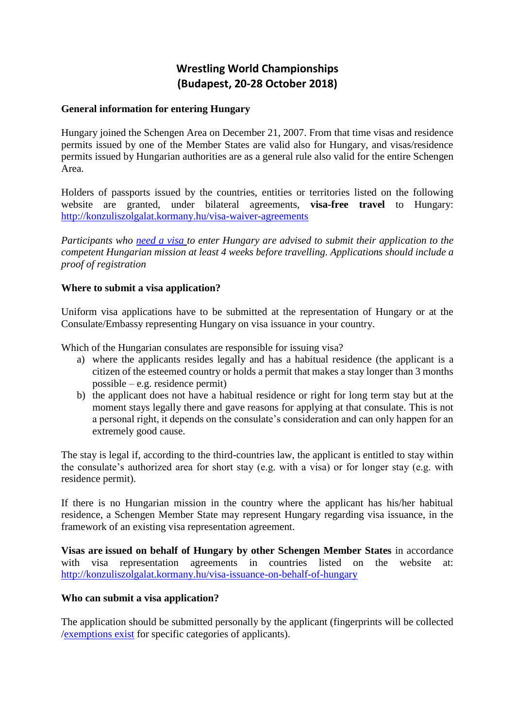# **Wrestling World Championships (Budapest, 20-28 October 2018)**

#### **General information for entering Hungary**

Hungary joined the Schengen Area on December 21, 2007. From that time visas and residence permits issued by one of the Member States are valid also for Hungary, and visas/residence permits issued by Hungarian authorities are as a general rule also valid for the entire Schengen Area.

Holders of passports issued by the countries, entities or territories listed on the following website are granted, under bilateral agreements, **visa-free travel** to Hungary: <http://konzuliszolgalat.kormany.hu/visa-waiver-agreements>

*Participants who [need a visa](http://ec.europa.eu/dgs/home-affairs/what-we-do/policies/borders-and-visas/visa-policy/apply_for_a_visa/docs/visa_lists_en.pdf) to enter Hungary are advised to submit their application to the competent Hungarian mission at least 4 weeks before travelling. Applications should include a proof of registration*

## **Where to submit a visa application?**

Uniform visa applications have to be submitted at the representation of Hungary or at the Consulate/Embassy representing Hungary on visa issuance in your country.

Which of the Hungarian consulates are responsible for issuing visa?

- a) where the applicants resides legally and has a habitual residence (the applicant is a citizen of the esteemed country or holds a permit that makes a stay longer than 3 months possible – e.g. residence permit)
- b) the applicant does not have a habitual residence or right for long term stay but at the moment stays legally there and gave reasons for applying at that consulate. This is not a personal right, it depends on the consulate's consideration and can only happen for an extremely good cause.

The stay is legal if, according to the third-countries law, the applicant is entitled to stay within the consulate's authorized area for short stay (e.g. with a visa) or for longer stay (e.g. with residence permit).

If there is no Hungarian mission in the country where the applicant has his/her habitual residence, a Schengen Member State may represent Hungary regarding visa issuance, in the framework of an existing visa representation agreement.

**Visas are issued on behalf of Hungary by other Schengen Member States** in accordance with visa representation agreements in countries listed on the website at: <http://konzuliszolgalat.kormany.hu/visa-issuance-on-behalf-of-hungary>

#### **Who can submit a visa application?**

The application should be submitted personally by the applicant (fingerprints will be collected [/exemptions exist](http://ec.europa.eu/dgs/home-affairs/e-library/docs/vis_factsheet/visa_information_system_factsheet_disclaimer_ec_lr_en.pdf) for specific categories of applicants).